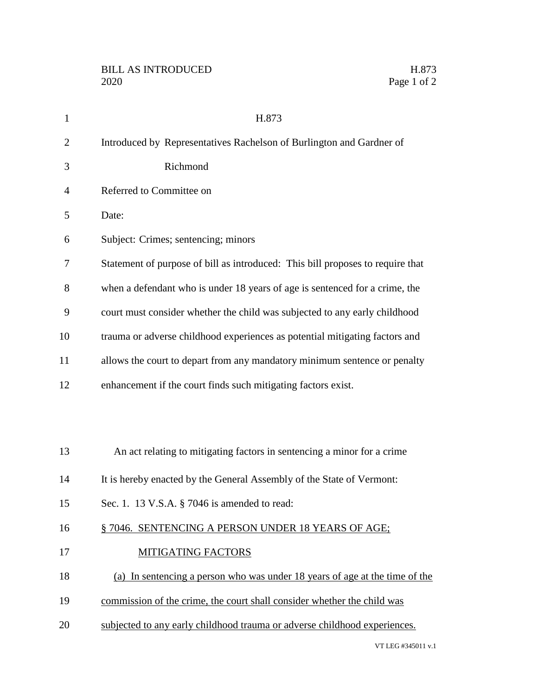| $\mathbf{1}$ | H.873                                                                          |
|--------------|--------------------------------------------------------------------------------|
| 2            | Introduced by Representatives Rachelson of Burlington and Gardner of           |
| 3            | Richmond                                                                       |
| 4            | Referred to Committee on                                                       |
| 5            | Date:                                                                          |
| 6            | Subject: Crimes; sentencing; minors                                            |
| 7            | Statement of purpose of bill as introduced: This bill proposes to require that |
| 8            | when a defendant who is under 18 years of age is sentenced for a crime, the    |
| 9            | court must consider whether the child was subjected to any early childhood     |
| 10           | trauma or adverse childhood experiences as potential mitigating factors and    |
| 11           | allows the court to depart from any mandatory minimum sentence or penalty      |
| 12           | enhancement if the court finds such mitigating factors exist.                  |
|              |                                                                                |
|              |                                                                                |
| 13           | An act relating to mitigating factors in sentencing a minor for a crime        |
| 14           | It is hereby enacted by the General Assembly of the State of Vermont:          |
| 15           | Sec. 1. 13 V.S.A. § 7046 is amended to read:                                   |
| 16           | § 7046. SENTENCING A PERSON UNDER 18 YEARS OF AGE;                             |
| 17           | <b>MITIGATING FACTORS</b>                                                      |
| 18           | (a) In sentencing a person who was under 18 years of age at the time of the    |
| 19           | commission of the crime, the court shall consider whether the child was        |
| 20           | subjected to any early childhood trauma or adverse childhood experiences.      |
|              |                                                                                |